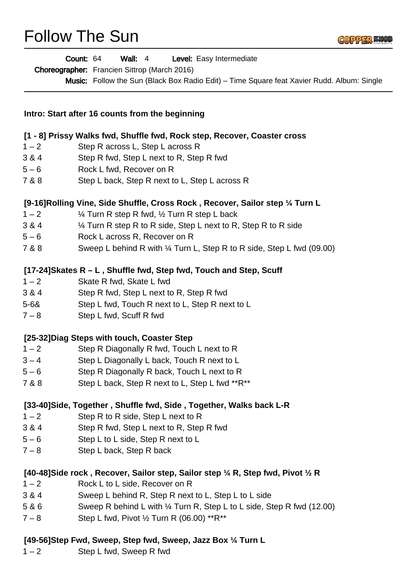## Follow The Sun



| Count: 64                                                                         | Wall: $4$<br>Level: Easy Intermediate<br>Choreographer: Francien Sittrop (March 2016)<br><b>Music:</b> Follow the Sun (Black Box Radio Edit) – Time Square feat Xavier Rudd. Album: Single |
|-----------------------------------------------------------------------------------|--------------------------------------------------------------------------------------------------------------------------------------------------------------------------------------------|
| Intro: Start after 16 counts from the beginning                                   |                                                                                                                                                                                            |
| [1 - 8] Prissy Walks fwd, Shuffle fwd, Rock step, Recover, Coaster cross          |                                                                                                                                                                                            |
| $1 - 2$                                                                           | Step R across L, Step L across R                                                                                                                                                           |
| 3 & 4                                                                             | Step R fwd, Step L next to R, Step R fwd                                                                                                                                                   |
| $5 - 6$                                                                           | Rock L fwd, Recover on R                                                                                                                                                                   |
| 7 & 8                                                                             | Step L back, Step R next to L, Step L across R                                                                                                                                             |
| [9-16] Rolling Vine, Side Shuffle, Cross Rock, Recover, Sailor step 1/4 Turn L    |                                                                                                                                                                                            |
| $1 - 2$                                                                           | 1/4 Turn R step R fwd, 1/2 Turn R step L back                                                                                                                                              |
| 3 & 4                                                                             | 1/4 Turn R step R to R side, Step L next to R, Step R to R side                                                                                                                            |
| $5 - 6$                                                                           | Rock L across R, Recover on R                                                                                                                                                              |
| 7 & 8                                                                             | Sweep L behind R with 1/4 Turn L, Step R to R side, Step L fwd (09.00)                                                                                                                     |
| [17-24] Skates R - L, Shuffle fwd, Step fwd, Touch and Step, Scuff                |                                                                                                                                                                                            |
| $1 - 2$                                                                           | Skate R fwd, Skate L fwd                                                                                                                                                                   |
| 3 & 4                                                                             | Step R fwd, Step L next to R, Step R fwd                                                                                                                                                   |
| $5 - 68$                                                                          | Step L fwd, Touch R next to L, Step R next to L                                                                                                                                            |
| $7 - 8$                                                                           | Step L fwd, Scuff R fwd                                                                                                                                                                    |
| [25-32] Diag Steps with touch, Coaster Step                                       |                                                                                                                                                                                            |
| $1 - 2$                                                                           | Step R Diagonally R fwd, Touch L next to R                                                                                                                                                 |
| $3 - 4$                                                                           | Step L Diagonally L back, Touch R next to L                                                                                                                                                |
| $5 - 6$                                                                           | Step R Diagonally R back, Touch L next to R                                                                                                                                                |
| 7 & 8                                                                             | Step L back, Step R next to L, Step L fwd **R**                                                                                                                                            |
| [33-40] Side, Together, Shuffle fwd, Side, Together, Walks back L-R               |                                                                                                                                                                                            |
| $1 - 2$                                                                           | Step R to R side, Step L next to R                                                                                                                                                         |
| 3 & 4                                                                             | Step R fwd, Step L next to R, Step R fwd                                                                                                                                                   |
| $5 - 6$                                                                           | Step L to L side, Step R next to L                                                                                                                                                         |
| $7 - 8$                                                                           | Step L back, Step R back                                                                                                                                                                   |
| [40-48] Side rock, Recover, Sailor step, Sailor step 1/4 R, Step fwd, Pivot 1/2 R |                                                                                                                                                                                            |
| $1 - 2$                                                                           | Rock L to L side, Recover on R                                                                                                                                                             |
| 3 & 4                                                                             | Sweep L behind R, Step R next to L, Step L to L side                                                                                                                                       |
| 5 & 6                                                                             | Sweep R behind L with 1/4 Turn R, Step L to L side, Step R fwd (12.00)                                                                                                                     |
| $7 - 8$                                                                           | Step L fwd, Pivot 1/2 Turn R (06.00) **R**                                                                                                                                                 |

## **[49-56]Step Fwd, Sweep, Step fwd, Sweep, Jazz Box ¼ Turn L**

 $1 - 2$  Step L fwd, Sweep R fwd